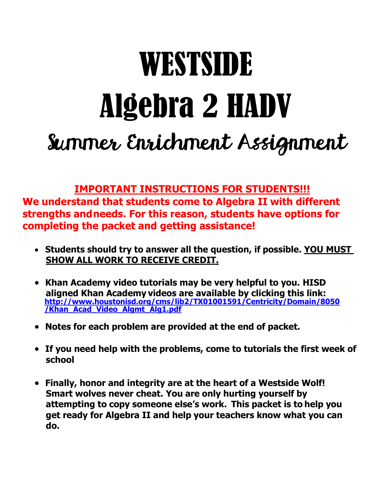# WESTSIDE Algebra 2 HADV Summer Enrichment Assignment

**IMPORTANT INSTRUCTIONS FOR STUDENTS!!!**

**We understand that students come to Algebra II with different strengths andneeds. For this reason, students have options for completing the packet and getting assistance!**

- **Students should try to answer all the question, if possible. YOU MUST SHOW ALL WORK TO RECEIVE CREDIT.**
- **Khan Academy video tutorials may be very helpful to you. HISD aligned Khan Academy videos are available by clicking this link: [http://www.houstonisd.org/cms/lib2/TX01001591/Centricity/Domain/8050](http://www.houstonisd.org/cms/lib2/TX01001591/Centricity/Domain/8050/Khan_Acad_Video_Algmt_Alg1.pdf) [/Khan\\_Acad\\_Video\\_Algmt\\_Alg1.pdf](http://www.houstonisd.org/cms/lib2/TX01001591/Centricity/Domain/8050/Khan_Acad_Video_Algmt_Alg1.pdf)**
- **Notes for each problem are provided at the end of packet.**
- **If you need help with the problems, come to tutorials the first week of school**
- **Finally, honor and integrity are at the heart of a Westside Wolf! Smart wolves never cheat. You are only hurting yourself by attempting to copy someone else's work. This packet is to help you get ready for Algebra II and help your teachers know what you can do.**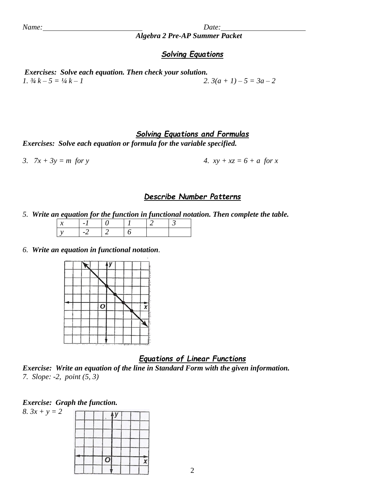*Algebra 2 Pre-AP Summer Packet*

#### *Solving Equations*

*Exercises: Solve each equation. Then check your solution. 1.*  $\frac{3}{4}k - 5 = \frac{1}{4}k - 1$ <br>2.  $3(a + 1) - 5 = 3a - 2$ 

#### *Solving Equations and Formulas*

*Exercises: Solve each equation or formula for the variable specified.*

3.  $7x + 3y = m$  *for y* **4.**  $xy + xz = 6 + a$  *for x* 

#### *Describe Number Patterns*

*5. Write an equation for the function in functional notation. Then complete the table.*

*6. Write an equation in functional notation.*



#### *Equations of Linear Functions*

*Exercise: Write an equation of the line in Standard Form with the given information. 7. Slope: -2, point (5, 3)*

X

#### *Exercise: Graph the function.*

*8. 3x + y = 2*y O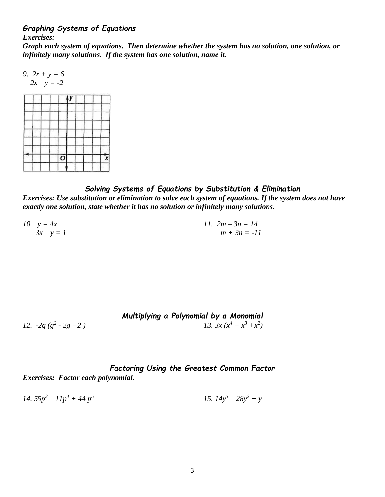#### *Graphing Systems of Equations*

*Exercises:*

*Graph each system of equations. Then determine whether the system has no solution, one solution, or infinitely many solutions. If the system has one solution, name it.*

9. 
$$
2x + y = 6
$$

$$
2x - y = -2
$$



#### *Solving Systems of Equations by Substitution & Elimination*

*Exercises: Use substitution or elimination to solve each system of equations. If the system does not have exactly one solution, state whether it has no solution or infinitely many solutions.*

*10.*  $y = 4x$  *11.*  $2m - 3n = 14$  $3x - y = 1$  *m* +  $3n = -11$ 

| 12. $-2g(g^2 - 2g + 2)$ | Multiplying a Polynomial by a Monomial |
|-------------------------|----------------------------------------|
| 12. $-2g(g^2 - 2g + 2)$ | 13. $3x(x^4 + x^3 + x^2)$              |

# *Factoring Using the Greatest Common Factor*

*Exercises: Factor each polynomial.*

14. 
$$
55p^2 - 11p^4 + 44p^5
$$
  
15.  $14y^3 - 28y^2 + y$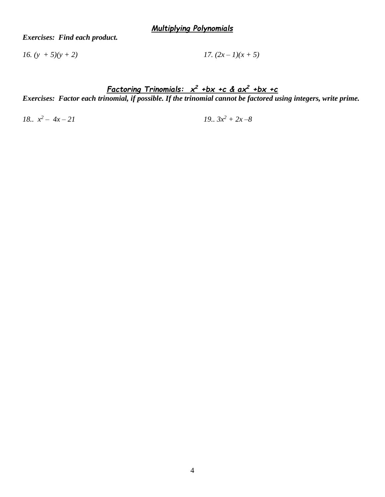*Exercises: Find each product.*

*16.*  $(y + 5)(y + 2)$  *17.*  $(2x - 1)(x + 5)$ 

*Factoring Trinomials: x <sup>2</sup> +bx +c & ax<sup>2</sup> +bx +c Exercises: Factor each trinomial, if possible. If the trinomial cannot be factored using integers, write prime.*

*18.. x 2*

 $19.3x^2 + 2x - 8$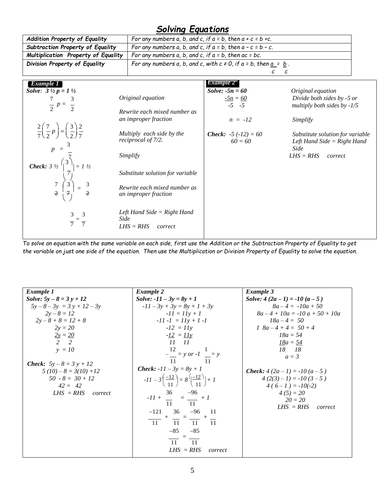# *Solving Equations*

|                                                                                     | OUTTING CYUU GIVIIJ                                                       |                                                                                                   |                                  |  |  |  |  |
|-------------------------------------------------------------------------------------|---------------------------------------------------------------------------|---------------------------------------------------------------------------------------------------|----------------------------------|--|--|--|--|
| Addition Property of Equality                                                       | For any numbers $a$ , $b$ , and $c$ , if $a = b$ , then $a + c = b + c$ . |                                                                                                   |                                  |  |  |  |  |
| Subtraction Property of Equality                                                    |                                                                           | For any numbers a, b, and c, if $a = b$ , then $a - c = b - c$ .                                  |                                  |  |  |  |  |
| Multiplication Property of Equality                                                 | For any numbers $a, b,$ and $c,$ if $a = b$ , then $ac = bc$ .            |                                                                                                   |                                  |  |  |  |  |
| Division Property of Equality                                                       |                                                                           | For any numbers a, b, and c, with $c \ne 0$ , if $a = b$ , then $\underline{a} = \underline{b}$ . |                                  |  |  |  |  |
|                                                                                     |                                                                           | с                                                                                                 | с                                |  |  |  |  |
| Example 1                                                                           |                                                                           | Example 2                                                                                         |                                  |  |  |  |  |
| <i>Solve:</i> $3 \frac{1}{2} p = 1 \frac{1}{2}$                                     |                                                                           | <i>Solve:</i> $-5n = 60$                                                                          | Original equation                |  |  |  |  |
|                                                                                     | Original equation                                                         | $\frac{-5n}{-5} = \frac{60}{-5}$                                                                  | Divide both sides by -5 or       |  |  |  |  |
| $\frac{7}{2} p = \frac{3}{2}$                                                       |                                                                           |                                                                                                   | multiply both sides by $-1/5$    |  |  |  |  |
|                                                                                     | Rewrite each mixed number as                                              |                                                                                                   |                                  |  |  |  |  |
|                                                                                     | an improper fraction                                                      | $n = -12$                                                                                         | Simplify                         |  |  |  |  |
| $\frac{2}{7}\left(\frac{7}{2}p\right)=\left(\frac{3}{2}\right)\frac{2}{7}$          | Multiply each side by the                                                 | <b>Check:</b> $-5(-12) = 60$                                                                      | Substitute solution for variable |  |  |  |  |
|                                                                                     | reciprocal of 7/2.                                                        | $60 = 60$                                                                                         | Left Hand Side = $Right$ Hand    |  |  |  |  |
|                                                                                     |                                                                           |                                                                                                   | Side                             |  |  |  |  |
| $p = \frac{1}{\sqrt{3}}$                                                            | Simplify                                                                  |                                                                                                   | $LHS = RHS$<br>correct           |  |  |  |  |
|                                                                                     |                                                                           |                                                                                                   |                                  |  |  |  |  |
| Check: $3 \frac{1}{2} \begin{pmatrix} 3 \\ 1 \\ 7 \\ 7 \\ 2 \\ 4 \end{pmatrix} = 3$ | Substitute solution for variable                                          |                                                                                                   |                                  |  |  |  |  |
|                                                                                     |                                                                           |                                                                                                   |                                  |  |  |  |  |
|                                                                                     | Rewrite each mixed number as                                              |                                                                                                   |                                  |  |  |  |  |
|                                                                                     | an improper fraction                                                      |                                                                                                   |                                  |  |  |  |  |
|                                                                                     |                                                                           |                                                                                                   |                                  |  |  |  |  |
|                                                                                     | Left Hand Side $=$ Right Hand<br>Side                                     |                                                                                                   |                                  |  |  |  |  |
|                                                                                     | $LHS = RHS$<br>correct                                                    |                                                                                                   |                                  |  |  |  |  |
|                                                                                     |                                                                           |                                                                                                   |                                  |  |  |  |  |

*To solve an equation with the same variable on each side, first use the Addition or the Subtraction Property of Equality to get* the variable on just one side of the equation. Then use the Multiplication or Division Property of Equality to solve the equation.

| Example 1                        | Example 2                                                               | Example 3                          |
|----------------------------------|-------------------------------------------------------------------------|------------------------------------|
| <i>Solve:</i> $5y - 8 = 3y + 12$ | <i>Solve:</i> $-11 - 3y = 8y + 1$                                       | Solve: $4(2a-1) = -10(a-5)$        |
| $5y - 8 - 3y = 3y + 12 - 3y$     | $-11 - 3y + 3y = 8y + 1 + 3y$                                           | $8a-4 = -10a + 50$                 |
| $2y-8=12$                        | $-II = IIy + I$                                                         | $8a-4+10a = -10a+50+10a$           |
| $2y-8+8=12+8$                    | $-11 -1 = 11y + 1 -1$                                                   | $18a - 4 = 50$                     |
| $2y = 20$                        | $-I2 = I1v$                                                             | $1 \ \ 8a - 4 + 4 = 50 + 4$        |
| $\frac{2y}{2} = \frac{20}{2}$    | $-12 = 11y$                                                             | $18a = 54$                         |
|                                  | $11$ $11$                                                               | <u> 18a = 54</u>                   |
| $y = 10$                         | $\frac{12}{-}$ = y or -1 $\frac{1}{-}$ = y                              | 18 18                              |
|                                  |                                                                         | $a = 3$                            |
| <b>Check:</b> $5y - 8 = 3y + 12$ | 11                                                                      |                                    |
| $5(10) - 8 = 3(10) + 12$         | <b>Check:</b> $-11 - 3y = 8y + 1$                                       | <b>Check:</b> $4(2a-1) = -10(a-5)$ |
| $50 - 8 = 30 + 12$               | $-11 - 3\left(\frac{-12}{11}\right) = 8\left(\frac{-12}{11}\right) + 1$ | $4(2(3)-1) = -10(3-5)$             |
| $42 = 42$                        |                                                                         | $4(6-1) = -10(-2)$                 |
| $LHS = RHS$<br>correct           |                                                                         | $4(5) = 20$                        |
|                                  | 11<br>$-11$                                                             | $20 = 20$                          |
|                                  |                                                                         | $LHS = RHS$<br>correct             |
|                                  |                                                                         |                                    |
|                                  | $\frac{-121}{11} + \frac{36}{11} = \frac{-96}{11} + \frac{11}{11}$      |                                    |
|                                  | $-85 - 85$                                                              |                                    |
|                                  | 11<br><sup>11</sup>                                                     |                                    |
|                                  | $LHS = RHS$<br>correct                                                  |                                    |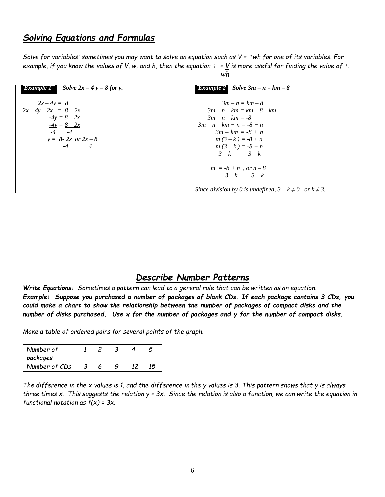#### *Solving Equations and Formulas*

*Solve for variables: sometimes you may want to solve an equation such as V = lwh for one of its variables. For* example, if you know the values of V, w, and h, then the equation  $1 = V$  is more useful for finding the value of 1. *wh*

| Solve $2x-4y=8$ for y.<br>Example 1 | <b>Bxample 2</b> Solve $3m - n = km - 8$                           |
|-------------------------------------|--------------------------------------------------------------------|
| $2x-4y=8$                           | $3m - n = km - 8$                                                  |
| $2x-4y-2x = 8-2x$                   | $3m - n - km = km - 8 - km$                                        |
| $-4y = 8 - 2x$                      | $3m - n - km = -8$                                                 |
| $-4y = 8 - 2x$                      | $3m - n - km + n = -8 + n$                                         |
| $-4$ $-4$                           | $3m - km = -8 + n$                                                 |
| $y = 8 - 2x$ or $2x - 8$            | $m(3-k) = -8 + n$                                                  |
| $-4$ $4$                            | $m(3-k) = -8 + n$                                                  |
|                                     | $3-k$ $3-k$                                                        |
|                                     |                                                                    |
|                                     | $m = -8 + n$ , or $n - 8$                                          |
|                                     | $3-k$ $3-k$                                                        |
|                                     | Since division by 0 is undefined, $3 - k \neq 0$ , or $k \neq 3$ . |

### *Describe Number Patterns*

Write Equations: Sometimes a pattern can lead to a general rule that can be written as an equation. *Example: Suppose you purchased a number of packages of blank CDs. If each package contains 3 CDs, you could make a chart to show the relationship between the number of packages of compact disks and the number of disks purchased. Use x for the number of packages and y for the number of compact disks.*

*Make a table of ordered pairs for several points of the graph.*

| Number of     |  |    |  |
|---------------|--|----|--|
| packages      |  |    |  |
| Number of CDs |  | 1つ |  |

*The difference in the x values is 1, and the difference in the y values is 3. This pattern shows that y is always* three times x. This suggests the relation  $y = 3x$ . Since the relation is also a function, we can write the equation in *functional notation as f(x) = 3x.*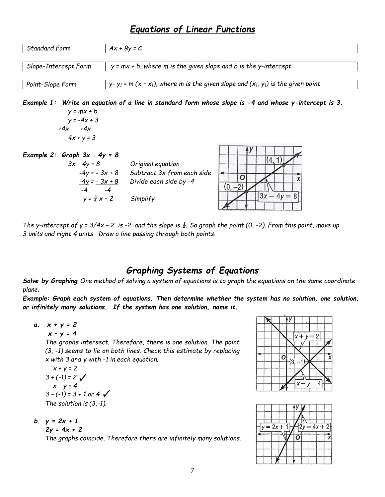# *Equations of Linear Functions*

| <b>Standard Form</b> | $Ax + By = C$                                                                                                                    |
|----------------------|----------------------------------------------------------------------------------------------------------------------------------|
| Slope-Intercept Form | $y = mx + b$ , where m is the given slope and b is the y-intercept                                                               |
| Point-Slope Form     | y-y <sub>1</sub> = m (x - x <sub>1</sub> ), where m is the given slope and (x <sub>1</sub> , y <sub>1</sub> ) is the given point |

*y = -4x + 3 +4x +4x*  $4x + y = 3$ 

| Example 2: Graph $3x - 4y = 8$     |                                                      |  |  |  |  |
|------------------------------------|------------------------------------------------------|--|--|--|--|
| $3x - 4y = 8$                      | Original equation                                    |  |  |  |  |
| $-4y = -3x + 8$<br>$-4y = -3x + 8$ | Subtract 3x from each side<br>Divide each side by -4 |  |  |  |  |
| -4<br>$y = \frac{3}{4}x - 2$       | Simplify                                             |  |  |  |  |

The y-intercept of y =  $3/4x$  - 2 is -2 and the slope is  $\frac{3}{4}$ . So graph the point (0, -2). From this point, move up *3 units and right 4 units. Draw a line passing through both points.*

# *Graphing Systems of Equations*

*Solve by Graphing One method of solving a system of equations is to graph the equations on the same coordinate plane.*

*Example: Graph each system of equations. Then determine whether the system has no solution, one solution, or infinitely many solutions. If the system has one solution, name it.*

*a. x + y = 2 x – y = 4*

> *The graphs intersect. Therefore, there is one solution. The point (3, -1) seems to lie on both lines. Check this estimate by replacing x with 3 and y with -1 in each equation.*

*x + y = 2*  $3 + (-1) = 2 \sqrt{ }$  $x - y = 4$ *3 – (-1) = 3 + 1 or 4 The solution is (3,-1).*

*b. y = 2x + 1*

*2y = 4x + 2*

*The graphs coincide. Therefore there are infinitely many solutions.*



| $= 2x + 1$ |  | $\overline{2v} = 4$ | $x + 2$ |  |
|------------|--|---------------------|---------|--|
|            |  |                     |         |  |
|            |  |                     |         |  |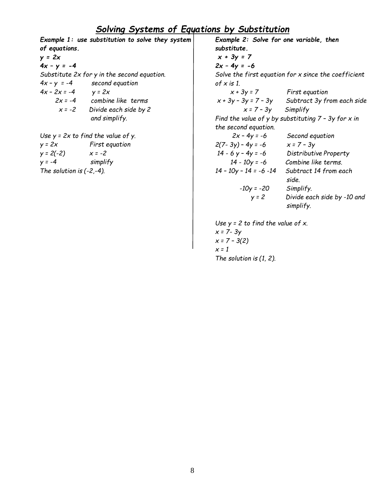# *Solving Systems of Equations by Substitution*

*Example 1: use substitution to solve they system of equations. y = 2x 4x – y = -4 Substitute 2x for y in the second equation. 4x – y = -4 second equation*  $4x - 2x = -4$   $y = 2x$ *2x = -4 combine like terms x = -2 Divide each side by 2 and simplify. Use y = 2x to find the value of y. y = 2x First equation y = 2(-2) x = -2 y = -4 simplify The solution is (-2,-4). Example 2: Solve for one variable, then substitute. x + 3y = 7 2x – 4y = -6 Solve the first equation for x since the coefficient of x is 1. x + 3y = 7 First equation x + 3y – 3y = 7 – 3y Subtract 3y from each side x = 7 – 3y Simplify Find the value of y by substituting 7 – 3y for x in the second equation. 2x – 4y = -6 Second equation 2(7- 3y) – 4y = -6 x = 7 – 3y 14 - 6 y – 4y = -6 Distributive Property 14 - 10y = -6 Combine like terms. 14 – 10y – 14 = -6 -14 Subtract 14 from each side. -10y = -20 Simplify. y = 2 Divide each side by -10 and simplify. Use y = 2 to find the value of x. x = 7- 3y x = 7 – 3(2)*

*x = 1 The solution is (1, 2).*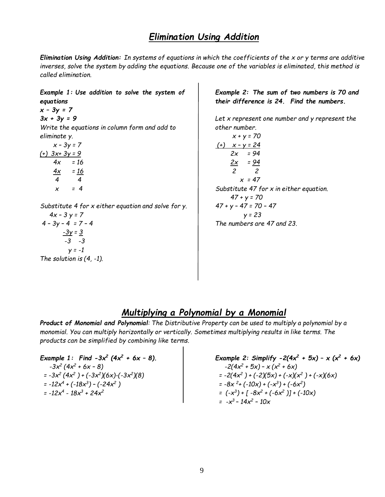### *Elimination Using Addition*

*Elimination Using Addition: In systems of equations in which the coefficients of the x or y terms are additive inverses, solve the system by adding the equations. Because one of the variables is eliminated, this method is called elimination.*

*Example 1: Use addition to solve the system of equations x – 3y = 7 3x + 3y = 9 Write the equations in column form and add to eliminate y. x – 3y = 7 (+) 3x+ 3y = 9 4x = 16*  $4x = 16$ *4 4 x = 4 Substitute 4 for x either equation and solve for y. 4x – 3 y = 7 4 – 3y – 4 = 7 – 4 -3y = 3 -3 -3 y = -1 The solution is (4, -1).*

*Example 2: The sum of two numbers is 70 and their difference is 24. Find the numbers.*

*Let x represent one number and y represent the other number.*

$$
x + y = 70
$$
\n
$$
\frac{(+)}{2x - y = 24}
$$
\n
$$
2x = 94
$$
\n
$$
\frac{2x}{2} = \frac{94}{2}
$$
\n
$$
x = 47
$$
\nSubstitute 47 for x in either equation.

\n
$$
47 + y = 70
$$
\n
$$
47 + y - 47 = 70 - 47
$$
\n
$$
y = 23
$$
\nThe numbers are 47 and 23.

## *Multiplying a Polynomial by a Monomial*

Product of Monomial and Polynomial: The Distributive Property can be used to multiply a polynomial by a *monomial. You can multiply horizontally or vertically. Sometimes multiplying results in like terms. The products can be simplified by combining like terms.*

*Example 1: Find -3x<sup>2</sup> (4x<sup>2</sup> + 6x – 8). -3x<sup>2</sup> (4x<sup>2</sup> + 6x – 8) = -3x<sup>2</sup> (4x<sup>2</sup> ) + (-3x<sup>2</sup> )(6x)-(-3x<sup>2</sup> )(8) = -12x<sup>4</sup> + (-18x<sup>3</sup> ) – (-24x<sup>2</sup> ) = -12x<sup>4</sup> - 18x<sup>3</sup> + 24x<sup>2</sup>*

*Example 2: Simplify -2(4x<sup>2</sup> + 5x) – x (x<sup>2</sup> + 6x) -2(4x<sup>2</sup> + 5x) – x (x<sup>2</sup> + 6x) = -2(4x<sup>2</sup> ) + (-2)(5x) + (-x)(x<sup>2</sup> ) + (-x)(6x) = -8x <sup>2</sup> + (-10x) + (-x 3 ) + (-6x<sup>2</sup> ) = (-x 3 ) + [ -8x<sup>2</sup> + (-6x<sup>2</sup> )] + (-10x) = -x 3 – 14x<sup>2</sup> – 10x*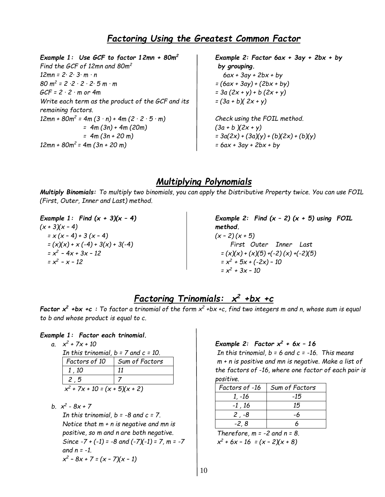# *Factoring Using the Greatest Common Factor*

*Example 1: Use GCF to factor 12mn + 80m<sup>2</sup> Find the GCF of 12mn and 80m<sup>2</sup> 12mn = 2∙ 2∙ 3∙ m ∙ n 80 m 2 = 2 ∙2 ∙ 2 ∙ 2∙ 5 m ∙ m GCF = 2 ∙ 2 ∙ m or 4m Write each term as the product of the GCF and its remaining factors. 12mn + 80m<sup>2</sup> = 4m (3 ∙ n) + 4m (2 ∙ 2 ∙ 5 ∙ m) = 4m (3n) + 4m (20m) = 4m (3n + 20 m) 12mn + 80m<sup>2</sup> = 4m (3n + 20 m)*

*Example 2: Factor 6ax + 3ay + 2bx + by by grouping. 6ax + 3ay + 2bx + by = (6ax + 3ay) + (2bx + by) = 3a (2x + y) + b (2x + y) = (3a + b)( 2x + y) Check using the FOIL method. (3a + b )(2x + y) = 3a(2x) + (3a)(y) + (b)(2x) + (b)(y)*

#### *= 6ax + 3ay + 2bx + by*

# *Multiplying Polynomials*

*Multiply Binomials: To multiply two binomials, you can apply the Distributive Property twice. You can use FOIL (First, Outer, Inner and Last) method.*

*Example 1: Find (x + 3)(x – 4) (x + 3)(x – 4) = x (x – 4) + 3 (x – 4) = (x)(x) + x (-4) + 3(x) + 3(-4) = x 2 – 4x + 3x – 12 = x 2 – x – 12*

*Example 2: Find (x – 2) (x + 5) using FOIL method. (x – 2) (x + 5) First Outer Inner Last = (x)(x) + (x)(5) +(-2) (x) +(-2)(5) = x 2 + 5x + (-2x) – 10 = x 2 + 3x – 10*

# *Factoring Trinomials: x <sup>2</sup> +bx +c*

Factor  $x^2$  +bx +c : To factor a trinomial of the form  $x^2$  +bx +c, find two integers m and n, whose sum is equal *to b and whose product is equal to c.*

#### *Example 1: Factor each trinomial.*

*a. x 2 + 7x + 10*

*In this trinomial, b = 7 and c = 10. Factors of 10 Sum of Factors*

| - 71 1<br>$\mathbf{I}$ |  |
|------------------------|--|
| 2, 5                   |  |
| -                      |  |

*x 2 + 7x + 10 = (x + 5)(x + 2)*

*b. x 2 - 8x + 7*

*In this trinomial, b = -8 and c = 7. Notice that m + n is negative and mn is positive, so m and n are both negative. Since -7 + (-1) = -8 and (-7)(-1) = 7, m = -7 and n = -1. x 2 – 8x + 7 = (x – 7)(x – 1)*

*Example 2: Factor x <sup>2</sup> + 6x – 16*

*In this trinomial, b = 6 and c = -16. This means m + n is positive and mn is negative. Make a list of the factors of -16, where one factor of each pair is positive.*

| Factors of -16 | Sum of Factors |
|----------------|----------------|
| 1, -16         | -15            |
| $-1$ , 16      | 15             |
| $2, -8$        | -6             |
| $-2, 8$        |                |

*Therefore, m = -2 and n = 8. x 2 + 6x – 16 = (x – 2)(x + 8)*